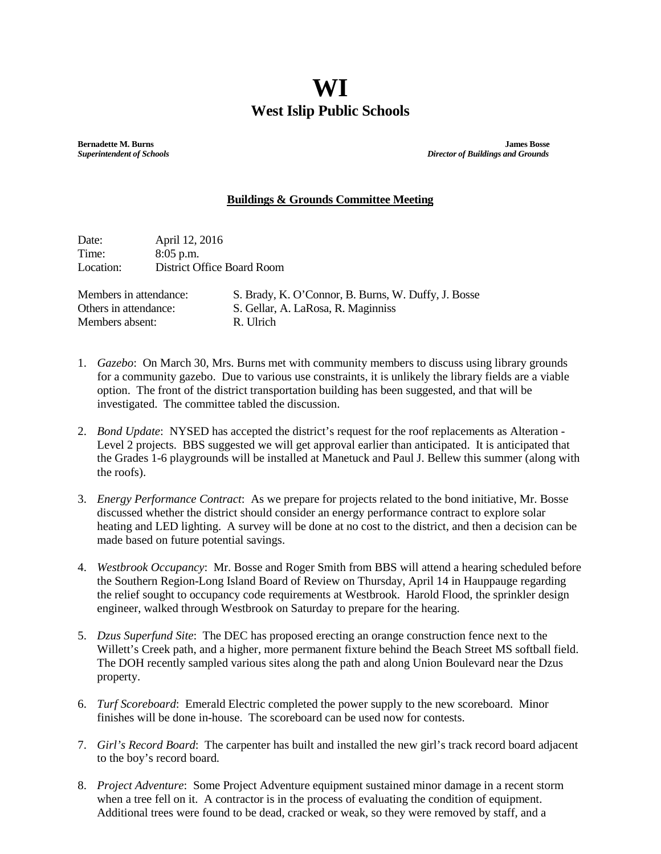## **WI West Islip Public Schools**

**Bernadette M. Burns James Bosse**<br> **Burns Bosse Superintendent of Schools**<br> **Burns Bosse Superintendent of Schools** *Superintendent of Schools**Director of Buildings and Grounds*

## **Buildings & Grounds Committee Meeting**

Date: April 12, 2016 Time: 8:05 p.m.<br>Location: District O District Office Board Room

Members absent: R. Ulrich

Members in attendance: S. Brady, K. O'Connor, B. Burns, W. Duffy, J. Bosse Others in attendance: S. Gellar, A. LaRosa, R. Maginniss

- 1. *Gazebo*: On March 30, Mrs. Burns met with community members to discuss using library grounds for a community gazebo. Due to various use constraints, it is unlikely the library fields are a viable option. The front of the district transportation building has been suggested, and that will be investigated. The committee tabled the discussion.
- 2. *Bond Update*: NYSED has accepted the district's request for the roof replacements as Alteration Level 2 projects. BBS suggested we will get approval earlier than anticipated. It is anticipated that the Grades 1-6 playgrounds will be installed at Manetuck and Paul J. Bellew this summer (along with the roofs).
- 3. *Energy Performance Contract*: As we prepare for projects related to the bond initiative, Mr. Bosse discussed whether the district should consider an energy performance contract to explore solar heating and LED lighting. A survey will be done at no cost to the district, and then a decision can be made based on future potential savings.
- 4. *Westbrook Occupancy*: Mr. Bosse and Roger Smith from BBS will attend a hearing scheduled before the Southern Region-Long Island Board of Review on Thursday, April 14 in Hauppauge regarding the relief sought to occupancy code requirements at Westbrook. Harold Flood, the sprinkler design engineer, walked through Westbrook on Saturday to prepare for the hearing.
- 5. *Dzus Superfund Site*: The DEC has proposed erecting an orange construction fence next to the Willett's Creek path, and a higher, more permanent fixture behind the Beach Street MS softball field. The DOH recently sampled various sites along the path and along Union Boulevard near the Dzus property.
- 6. *Turf Scoreboard*: Emerald Electric completed the power supply to the new scoreboard. Minor finishes will be done in-house. The scoreboard can be used now for contests.
- 7. *Girl's Record Board*: The carpenter has built and installed the new girl's track record board adjacent to the boy's record board.
- 8. *Project Adventure*: Some Project Adventure equipment sustained minor damage in a recent storm when a tree fell on it. A contractor is in the process of evaluating the condition of equipment. Additional trees were found to be dead, cracked or weak, so they were removed by staff, and a